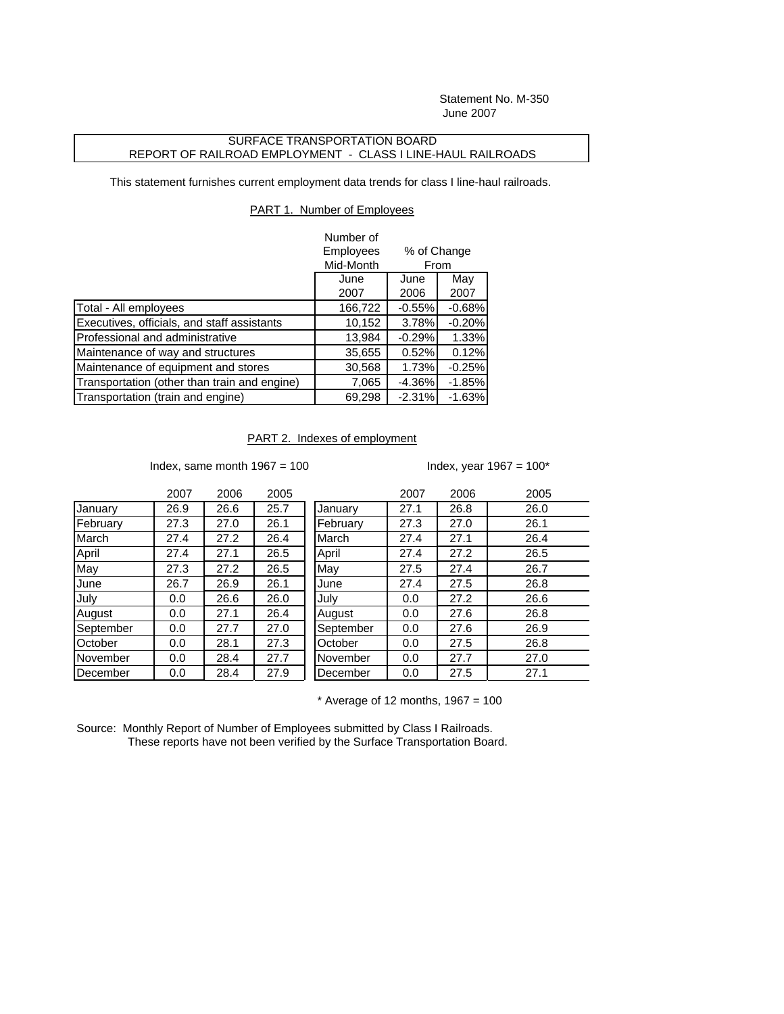Statement No. M-350 June 2007

## SURFACE TRANSPORTATION BOARD REPORT OF RAILROAD EMPLOYMENT - CLASS I LINE-HAUL RAILROADS

This statement furnishes current employment data trends for class I line-haul railroads.

## PART 1. Number of Employees

|                                              | Number of                |           |          |  |
|----------------------------------------------|--------------------------|-----------|----------|--|
|                                              | Employees<br>% of Change |           |          |  |
|                                              | Mid-Month                | From      |          |  |
|                                              | June                     | June      | May      |  |
|                                              | 2007                     | 2006      | 2007     |  |
| Total - All employees                        | 166,722                  | $-0.55%$  | $-0.68%$ |  |
| Executives, officials, and staff assistants  | 10,152                   | 3.78%     | $-0.20%$ |  |
| Professional and administrative              | 13,984                   | $-0.29%$  | 1.33%    |  |
| Maintenance of way and structures            | 35,655                   | 0.52%     | 0.12%    |  |
| Maintenance of equipment and stores          | 30,568                   | 1.73%     | $-0.25%$ |  |
| Transportation (other than train and engine) | 7,065                    | $-4.36\%$ | $-1.85%$ |  |
| Transportation (train and engine)            | 69,298                   | $-2.31%$  | $-1.63%$ |  |

PART 2. Indexes of employment

Index, same month  $1967 = 100$  Index, year  $1967 = 100^*$ 

|           | 2007 | 2006 | 2005 |           | 2007 | 2006 | 2005 |
|-----------|------|------|------|-----------|------|------|------|
| January   | 26.9 | 26.6 | 25.7 | January   | 27.1 | 26.8 | 26.0 |
| February  | 27.3 | 27.0 | 26.1 | February  | 27.3 | 27.0 | 26.1 |
| March     | 27.4 | 27.2 | 26.4 | March     | 27.4 | 27.1 | 26.4 |
| April     | 27.4 | 27.1 | 26.5 | April     | 27.4 | 27.2 | 26.5 |
| May       | 27.3 | 27.2 | 26.5 | May       | 27.5 | 27.4 | 26.7 |
| June      | 26.7 | 26.9 | 26.1 | June      | 27.4 | 27.5 | 26.8 |
| July      | 0.0  | 26.6 | 26.0 | July      | 0.0  | 27.2 | 26.6 |
| August    | 0.0  | 27.1 | 26.4 | August    | 0.0  | 27.6 | 26.8 |
| September | 0.0  | 27.7 | 27.0 | September | 0.0  | 27.6 | 26.9 |
| October   | 0.0  | 28.1 | 27.3 | October   | 0.0  | 27.5 | 26.8 |
| November  | 0.0  | 28.4 | 27.7 | November  | 0.0  | 27.7 | 27.0 |
| December  | 0.0  | 28.4 | 27.9 | December  | 0.0  | 27.5 | 27.1 |

 $*$  Average of 12 months, 1967 = 100

Source: Monthly Report of Number of Employees submitted by Class I Railroads. These reports have not been verified by the Surface Transportation Board.